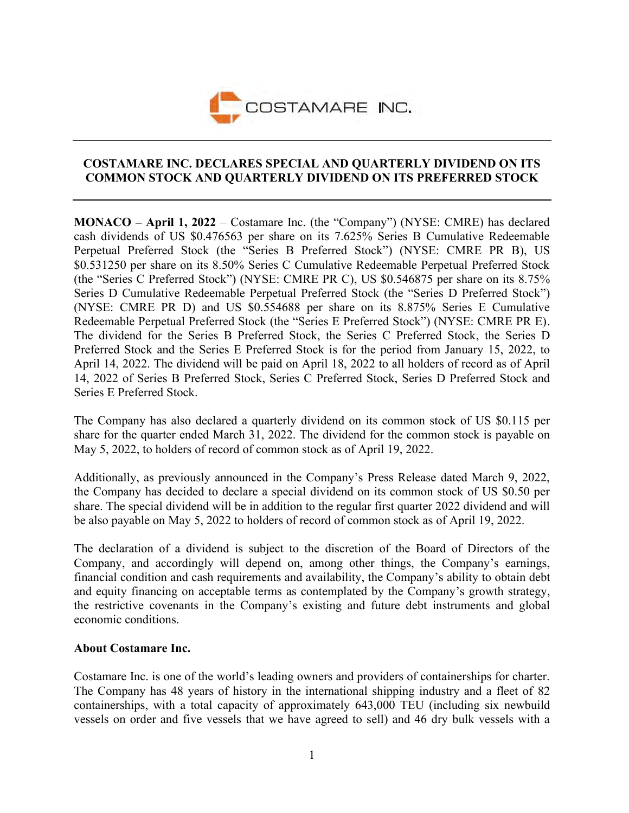

## **COSTAMARE INC. DECLARES SPECIAL AND QUARTERLY DIVIDEND ON ITS COMMON STOCK AND QUARTERLY DIVIDEND ON ITS PREFERRED STOCK**

**MONACO – April 1, 2022** – Costamare Inc. (the "Company") (NYSE: CMRE) has declared cash dividends of US \$0.476563 per share on its 7.625% Series B Cumulative Redeemable Perpetual Preferred Stock (the "Series B Preferred Stock") (NYSE: CMRE PR B), US \$0.531250 per share on its 8.50% Series C Cumulative Redeemable Perpetual Preferred Stock (the "Series C Preferred Stock") (NYSE: CMRE PR C), US \$0.546875 per share on its 8.75% Series D Cumulative Redeemable Perpetual Preferred Stock (the "Series D Preferred Stock") (NYSE: CMRE PR D) and US \$0.554688 per share on its 8.875% Series E Cumulative Redeemable Perpetual Preferred Stock (the "Series E Preferred Stock") (NYSE: CMRE PR E). The dividend for the Series B Preferred Stock, the Series C Preferred Stock, the Series D Preferred Stock and the Series E Preferred Stock is for the period from January 15, 2022, to April 14, 2022. The dividend will be paid on April 18, 2022 to all holders of record as of April 14, 2022 of Series B Preferred Stock, Series C Preferred Stock, Series D Preferred Stock and Series E Preferred Stock.

The Company has also declared a quarterly dividend on its common stock of US \$0.115 per share for the quarter ended March 31, 2022. The dividend for the common stock is payable on May 5, 2022, to holders of record of common stock as of April 19, 2022.

Additionally, as previously announced in the Company's Press Release dated March 9, 2022, the Company has decided to declare a special dividend on its common stock of US \$0.50 per share. The special dividend will be in addition to the regular first quarter 2022 dividend and will be also payable on May 5, 2022 to holders of record of common stock as of April 19, 2022.

The declaration of a dividend is subject to the discretion of the Board of Directors of the Company, and accordingly will depend on, among other things, the Company's earnings, financial condition and cash requirements and availability, the Company's ability to obtain debt and equity financing on acceptable terms as contemplated by the Company's growth strategy, the restrictive covenants in the Company's existing and future debt instruments and global economic conditions.

## **About Costamare Inc.**

Costamare Inc. is one of the world's leading owners and providers of containerships for charter. The Company has 48 years of history in the international shipping industry and a fleet of 82 containerships, with a total capacity of approximately 643,000 TEU (including six newbuild vessels on order and five vessels that we have agreed to sell) and 46 dry bulk vessels with a